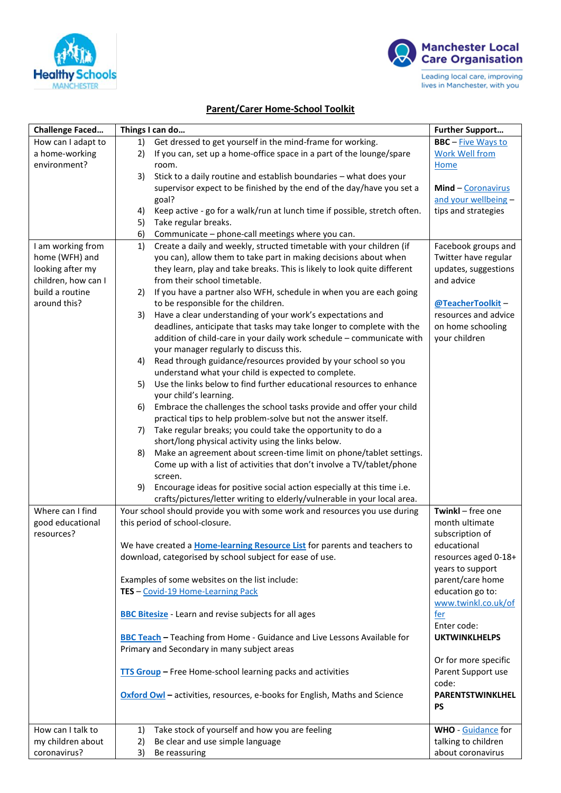



## **Parent/Carer Home-School Toolkit**

| <b>BBC</b> - Five Ways to<br>How can I adapt to<br>Get dressed to get yourself in the mind-frame for working.<br>1)<br>If you can, set up a home-office space in a part of the lounge/spare<br><b>Work Well from</b><br>a home-working<br>2)<br>environment?<br>room.<br><b>Home</b><br>Stick to a daily routine and establish boundaries - what does your<br>3)<br>supervisor expect to be finished by the end of the day/have you set a<br>Mind - Coronavirus<br>and your wellbeing -<br>goal?<br>Keep active - go for a walk/run at lunch time if possible, stretch often.<br>tips and strategies<br>4)<br>5)<br>Take regular breaks.<br>6)<br>Communicate - phone-call meetings where you can.<br>Create a daily and weekly, structed timetable with your children (if<br>I am working from<br>Facebook groups and<br>1)<br>home (WFH) and<br>you can), allow them to take part in making decisions about when<br>Twitter have regular<br>looking after my<br>they learn, play and take breaks. This is likely to look quite different<br>updates, suggestions<br>children, how can I<br>from their school timetable.<br>and advice<br>build a routine<br>If you have a partner also WFH, schedule in when you are each going<br>2)<br>around this?<br>to be responsible for the children.<br>@TeacherToolkit-<br>Have a clear understanding of your work's expectations and<br>resources and advice<br>3)<br>deadlines, anticipate that tasks may take longer to complete with the<br>on home schooling<br>addition of child-care in your daily work schedule - communicate with<br>your children<br>your manager regularly to discuss this.<br>Read through guidance/resources provided by your school so you<br>4)<br>understand what your child is expected to complete.<br>Use the links below to find further educational resources to enhance<br>5)<br>your child's learning.<br>Embrace the challenges the school tasks provide and offer your child<br>6)<br>practical tips to help problem-solve but not the answer itself.<br>Take regular breaks; you could take the opportunity to do a<br>7)<br>short/long physical activity using the links below.<br>Make an agreement about screen-time limit on phone/tablet settings.<br>8)<br>Come up with a list of activities that don't involve a TV/tablet/phone<br>screen.<br>Encourage ideas for positive social action especially at this time i.e.<br>9)<br>crafts/pictures/letter writing to elderly/vulnerable in your local area.<br>Where can I find<br>Your school should provide you with some work and resources you use during<br>Twinkl - free one<br>this period of school-closure.<br>month ultimate<br>good educational<br>resources?<br>subscription of<br>We have created a <b>Home-learning Resource List</b> for parents and teachers to<br>educational<br>download, categorised by school subject for ease of use.<br>resources aged 0-18+<br>years to support<br>Examples of some websites on the list include:<br>parent/care home<br>education go to:<br>TES - Covid-19 Home-Learning Pack<br>www.twinkl.co.uk/of<br><b>BBC Bitesize</b> - Learn and revise subjects for all ages<br><u>fer</u><br>Enter code:<br><b>BBC Teach</b> - Teaching from Home - Guidance and Live Lessons Available for<br><b>UKTWINKLHELPS</b><br>Primary and Secondary in many subject areas<br>Or for more specific<br>TTS Group - Free Home-school learning packs and activities<br>Parent Support use<br>code:<br>Oxford Owl - activities, resources, e-books for English, Maths and Science<br>PARENTSTWINKLHEL<br><b>PS</b><br>Take stock of yourself and how you are feeling<br>How can I talk to<br><b>WHO</b> - Guidance for<br>1)<br>talking to children<br>my children about<br>2)<br>Be clear and use simple language<br>coronavirus?<br>about coronavirus<br>3)<br>Be reassuring | <b>Challenge Faced</b> | Things I can do | <b>Further Support</b> |
|--------------------------------------------------------------------------------------------------------------------------------------------------------------------------------------------------------------------------------------------------------------------------------------------------------------------------------------------------------------------------------------------------------------------------------------------------------------------------------------------------------------------------------------------------------------------------------------------------------------------------------------------------------------------------------------------------------------------------------------------------------------------------------------------------------------------------------------------------------------------------------------------------------------------------------------------------------------------------------------------------------------------------------------------------------------------------------------------------------------------------------------------------------------------------------------------------------------------------------------------------------------------------------------------------------------------------------------------------------------------------------------------------------------------------------------------------------------------------------------------------------------------------------------------------------------------------------------------------------------------------------------------------------------------------------------------------------------------------------------------------------------------------------------------------------------------------------------------------------------------------------------------------------------------------------------------------------------------------------------------------------------------------------------------------------------------------------------------------------------------------------------------------------------------------------------------------------------------------------------------------------------------------------------------------------------------------------------------------------------------------------------------------------------------------------------------------------------------------------------------------------------------------------------------------------------------------------------------------------------------------------------------------------------------------------------------------------------------------------------------------------------------------------------------------------------------------------------------------------------------------------------------------------------------------------------------------------------------------------------------------------------------------------------------------------------------------------------------------------------------------------------------------------------------------------------------------------------------------------------------------------------------------------------------------------------------------------------------------------------------------------------------------------------------------------------------------------------------------------------------------------------------------------------------------------------------------------------------------------------------------------------------------------------------------------------------------------------------------------------------------------------------------------------------------------------------------------------------------------------|------------------------|-----------------|------------------------|
|                                                                                                                                                                                                                                                                                                                                                                                                                                                                                                                                                                                                                                                                                                                                                                                                                                                                                                                                                                                                                                                                                                                                                                                                                                                                                                                                                                                                                                                                                                                                                                                                                                                                                                                                                                                                                                                                                                                                                                                                                                                                                                                                                                                                                                                                                                                                                                                                                                                                                                                                                                                                                                                                                                                                                                                                                                                                                                                                                                                                                                                                                                                                                                                                                                                                                                                                                                                                                                                                                                                                                                                                                                                                                                                                                                                                                                                              |                        |                 |                        |
|                                                                                                                                                                                                                                                                                                                                                                                                                                                                                                                                                                                                                                                                                                                                                                                                                                                                                                                                                                                                                                                                                                                                                                                                                                                                                                                                                                                                                                                                                                                                                                                                                                                                                                                                                                                                                                                                                                                                                                                                                                                                                                                                                                                                                                                                                                                                                                                                                                                                                                                                                                                                                                                                                                                                                                                                                                                                                                                                                                                                                                                                                                                                                                                                                                                                                                                                                                                                                                                                                                                                                                                                                                                                                                                                                                                                                                                              |                        |                 |                        |
|                                                                                                                                                                                                                                                                                                                                                                                                                                                                                                                                                                                                                                                                                                                                                                                                                                                                                                                                                                                                                                                                                                                                                                                                                                                                                                                                                                                                                                                                                                                                                                                                                                                                                                                                                                                                                                                                                                                                                                                                                                                                                                                                                                                                                                                                                                                                                                                                                                                                                                                                                                                                                                                                                                                                                                                                                                                                                                                                                                                                                                                                                                                                                                                                                                                                                                                                                                                                                                                                                                                                                                                                                                                                                                                                                                                                                                                              |                        |                 |                        |
|                                                                                                                                                                                                                                                                                                                                                                                                                                                                                                                                                                                                                                                                                                                                                                                                                                                                                                                                                                                                                                                                                                                                                                                                                                                                                                                                                                                                                                                                                                                                                                                                                                                                                                                                                                                                                                                                                                                                                                                                                                                                                                                                                                                                                                                                                                                                                                                                                                                                                                                                                                                                                                                                                                                                                                                                                                                                                                                                                                                                                                                                                                                                                                                                                                                                                                                                                                                                                                                                                                                                                                                                                                                                                                                                                                                                                                                              |                        |                 |                        |
|                                                                                                                                                                                                                                                                                                                                                                                                                                                                                                                                                                                                                                                                                                                                                                                                                                                                                                                                                                                                                                                                                                                                                                                                                                                                                                                                                                                                                                                                                                                                                                                                                                                                                                                                                                                                                                                                                                                                                                                                                                                                                                                                                                                                                                                                                                                                                                                                                                                                                                                                                                                                                                                                                                                                                                                                                                                                                                                                                                                                                                                                                                                                                                                                                                                                                                                                                                                                                                                                                                                                                                                                                                                                                                                                                                                                                                                              |                        |                 |                        |
|                                                                                                                                                                                                                                                                                                                                                                                                                                                                                                                                                                                                                                                                                                                                                                                                                                                                                                                                                                                                                                                                                                                                                                                                                                                                                                                                                                                                                                                                                                                                                                                                                                                                                                                                                                                                                                                                                                                                                                                                                                                                                                                                                                                                                                                                                                                                                                                                                                                                                                                                                                                                                                                                                                                                                                                                                                                                                                                                                                                                                                                                                                                                                                                                                                                                                                                                                                                                                                                                                                                                                                                                                                                                                                                                                                                                                                                              |                        |                 |                        |
|                                                                                                                                                                                                                                                                                                                                                                                                                                                                                                                                                                                                                                                                                                                                                                                                                                                                                                                                                                                                                                                                                                                                                                                                                                                                                                                                                                                                                                                                                                                                                                                                                                                                                                                                                                                                                                                                                                                                                                                                                                                                                                                                                                                                                                                                                                                                                                                                                                                                                                                                                                                                                                                                                                                                                                                                                                                                                                                                                                                                                                                                                                                                                                                                                                                                                                                                                                                                                                                                                                                                                                                                                                                                                                                                                                                                                                                              |                        |                 |                        |
|                                                                                                                                                                                                                                                                                                                                                                                                                                                                                                                                                                                                                                                                                                                                                                                                                                                                                                                                                                                                                                                                                                                                                                                                                                                                                                                                                                                                                                                                                                                                                                                                                                                                                                                                                                                                                                                                                                                                                                                                                                                                                                                                                                                                                                                                                                                                                                                                                                                                                                                                                                                                                                                                                                                                                                                                                                                                                                                                                                                                                                                                                                                                                                                                                                                                                                                                                                                                                                                                                                                                                                                                                                                                                                                                                                                                                                                              |                        |                 |                        |
|                                                                                                                                                                                                                                                                                                                                                                                                                                                                                                                                                                                                                                                                                                                                                                                                                                                                                                                                                                                                                                                                                                                                                                                                                                                                                                                                                                                                                                                                                                                                                                                                                                                                                                                                                                                                                                                                                                                                                                                                                                                                                                                                                                                                                                                                                                                                                                                                                                                                                                                                                                                                                                                                                                                                                                                                                                                                                                                                                                                                                                                                                                                                                                                                                                                                                                                                                                                                                                                                                                                                                                                                                                                                                                                                                                                                                                                              |                        |                 |                        |
|                                                                                                                                                                                                                                                                                                                                                                                                                                                                                                                                                                                                                                                                                                                                                                                                                                                                                                                                                                                                                                                                                                                                                                                                                                                                                                                                                                                                                                                                                                                                                                                                                                                                                                                                                                                                                                                                                                                                                                                                                                                                                                                                                                                                                                                                                                                                                                                                                                                                                                                                                                                                                                                                                                                                                                                                                                                                                                                                                                                                                                                                                                                                                                                                                                                                                                                                                                                                                                                                                                                                                                                                                                                                                                                                                                                                                                                              |                        |                 |                        |
|                                                                                                                                                                                                                                                                                                                                                                                                                                                                                                                                                                                                                                                                                                                                                                                                                                                                                                                                                                                                                                                                                                                                                                                                                                                                                                                                                                                                                                                                                                                                                                                                                                                                                                                                                                                                                                                                                                                                                                                                                                                                                                                                                                                                                                                                                                                                                                                                                                                                                                                                                                                                                                                                                                                                                                                                                                                                                                                                                                                                                                                                                                                                                                                                                                                                                                                                                                                                                                                                                                                                                                                                                                                                                                                                                                                                                                                              |                        |                 |                        |
|                                                                                                                                                                                                                                                                                                                                                                                                                                                                                                                                                                                                                                                                                                                                                                                                                                                                                                                                                                                                                                                                                                                                                                                                                                                                                                                                                                                                                                                                                                                                                                                                                                                                                                                                                                                                                                                                                                                                                                                                                                                                                                                                                                                                                                                                                                                                                                                                                                                                                                                                                                                                                                                                                                                                                                                                                                                                                                                                                                                                                                                                                                                                                                                                                                                                                                                                                                                                                                                                                                                                                                                                                                                                                                                                                                                                                                                              |                        |                 |                        |
|                                                                                                                                                                                                                                                                                                                                                                                                                                                                                                                                                                                                                                                                                                                                                                                                                                                                                                                                                                                                                                                                                                                                                                                                                                                                                                                                                                                                                                                                                                                                                                                                                                                                                                                                                                                                                                                                                                                                                                                                                                                                                                                                                                                                                                                                                                                                                                                                                                                                                                                                                                                                                                                                                                                                                                                                                                                                                                                                                                                                                                                                                                                                                                                                                                                                                                                                                                                                                                                                                                                                                                                                                                                                                                                                                                                                                                                              |                        |                 |                        |
|                                                                                                                                                                                                                                                                                                                                                                                                                                                                                                                                                                                                                                                                                                                                                                                                                                                                                                                                                                                                                                                                                                                                                                                                                                                                                                                                                                                                                                                                                                                                                                                                                                                                                                                                                                                                                                                                                                                                                                                                                                                                                                                                                                                                                                                                                                                                                                                                                                                                                                                                                                                                                                                                                                                                                                                                                                                                                                                                                                                                                                                                                                                                                                                                                                                                                                                                                                                                                                                                                                                                                                                                                                                                                                                                                                                                                                                              |                        |                 |                        |
|                                                                                                                                                                                                                                                                                                                                                                                                                                                                                                                                                                                                                                                                                                                                                                                                                                                                                                                                                                                                                                                                                                                                                                                                                                                                                                                                                                                                                                                                                                                                                                                                                                                                                                                                                                                                                                                                                                                                                                                                                                                                                                                                                                                                                                                                                                                                                                                                                                                                                                                                                                                                                                                                                                                                                                                                                                                                                                                                                                                                                                                                                                                                                                                                                                                                                                                                                                                                                                                                                                                                                                                                                                                                                                                                                                                                                                                              |                        |                 |                        |
|                                                                                                                                                                                                                                                                                                                                                                                                                                                                                                                                                                                                                                                                                                                                                                                                                                                                                                                                                                                                                                                                                                                                                                                                                                                                                                                                                                                                                                                                                                                                                                                                                                                                                                                                                                                                                                                                                                                                                                                                                                                                                                                                                                                                                                                                                                                                                                                                                                                                                                                                                                                                                                                                                                                                                                                                                                                                                                                                                                                                                                                                                                                                                                                                                                                                                                                                                                                                                                                                                                                                                                                                                                                                                                                                                                                                                                                              |                        |                 |                        |
|                                                                                                                                                                                                                                                                                                                                                                                                                                                                                                                                                                                                                                                                                                                                                                                                                                                                                                                                                                                                                                                                                                                                                                                                                                                                                                                                                                                                                                                                                                                                                                                                                                                                                                                                                                                                                                                                                                                                                                                                                                                                                                                                                                                                                                                                                                                                                                                                                                                                                                                                                                                                                                                                                                                                                                                                                                                                                                                                                                                                                                                                                                                                                                                                                                                                                                                                                                                                                                                                                                                                                                                                                                                                                                                                                                                                                                                              |                        |                 |                        |
|                                                                                                                                                                                                                                                                                                                                                                                                                                                                                                                                                                                                                                                                                                                                                                                                                                                                                                                                                                                                                                                                                                                                                                                                                                                                                                                                                                                                                                                                                                                                                                                                                                                                                                                                                                                                                                                                                                                                                                                                                                                                                                                                                                                                                                                                                                                                                                                                                                                                                                                                                                                                                                                                                                                                                                                                                                                                                                                                                                                                                                                                                                                                                                                                                                                                                                                                                                                                                                                                                                                                                                                                                                                                                                                                                                                                                                                              |                        |                 |                        |
|                                                                                                                                                                                                                                                                                                                                                                                                                                                                                                                                                                                                                                                                                                                                                                                                                                                                                                                                                                                                                                                                                                                                                                                                                                                                                                                                                                                                                                                                                                                                                                                                                                                                                                                                                                                                                                                                                                                                                                                                                                                                                                                                                                                                                                                                                                                                                                                                                                                                                                                                                                                                                                                                                                                                                                                                                                                                                                                                                                                                                                                                                                                                                                                                                                                                                                                                                                                                                                                                                                                                                                                                                                                                                                                                                                                                                                                              |                        |                 |                        |
|                                                                                                                                                                                                                                                                                                                                                                                                                                                                                                                                                                                                                                                                                                                                                                                                                                                                                                                                                                                                                                                                                                                                                                                                                                                                                                                                                                                                                                                                                                                                                                                                                                                                                                                                                                                                                                                                                                                                                                                                                                                                                                                                                                                                                                                                                                                                                                                                                                                                                                                                                                                                                                                                                                                                                                                                                                                                                                                                                                                                                                                                                                                                                                                                                                                                                                                                                                                                                                                                                                                                                                                                                                                                                                                                                                                                                                                              |                        |                 |                        |
|                                                                                                                                                                                                                                                                                                                                                                                                                                                                                                                                                                                                                                                                                                                                                                                                                                                                                                                                                                                                                                                                                                                                                                                                                                                                                                                                                                                                                                                                                                                                                                                                                                                                                                                                                                                                                                                                                                                                                                                                                                                                                                                                                                                                                                                                                                                                                                                                                                                                                                                                                                                                                                                                                                                                                                                                                                                                                                                                                                                                                                                                                                                                                                                                                                                                                                                                                                                                                                                                                                                                                                                                                                                                                                                                                                                                                                                              |                        |                 |                        |
|                                                                                                                                                                                                                                                                                                                                                                                                                                                                                                                                                                                                                                                                                                                                                                                                                                                                                                                                                                                                                                                                                                                                                                                                                                                                                                                                                                                                                                                                                                                                                                                                                                                                                                                                                                                                                                                                                                                                                                                                                                                                                                                                                                                                                                                                                                                                                                                                                                                                                                                                                                                                                                                                                                                                                                                                                                                                                                                                                                                                                                                                                                                                                                                                                                                                                                                                                                                                                                                                                                                                                                                                                                                                                                                                                                                                                                                              |                        |                 |                        |
|                                                                                                                                                                                                                                                                                                                                                                                                                                                                                                                                                                                                                                                                                                                                                                                                                                                                                                                                                                                                                                                                                                                                                                                                                                                                                                                                                                                                                                                                                                                                                                                                                                                                                                                                                                                                                                                                                                                                                                                                                                                                                                                                                                                                                                                                                                                                                                                                                                                                                                                                                                                                                                                                                                                                                                                                                                                                                                                                                                                                                                                                                                                                                                                                                                                                                                                                                                                                                                                                                                                                                                                                                                                                                                                                                                                                                                                              |                        |                 |                        |
|                                                                                                                                                                                                                                                                                                                                                                                                                                                                                                                                                                                                                                                                                                                                                                                                                                                                                                                                                                                                                                                                                                                                                                                                                                                                                                                                                                                                                                                                                                                                                                                                                                                                                                                                                                                                                                                                                                                                                                                                                                                                                                                                                                                                                                                                                                                                                                                                                                                                                                                                                                                                                                                                                                                                                                                                                                                                                                                                                                                                                                                                                                                                                                                                                                                                                                                                                                                                                                                                                                                                                                                                                                                                                                                                                                                                                                                              |                        |                 |                        |
|                                                                                                                                                                                                                                                                                                                                                                                                                                                                                                                                                                                                                                                                                                                                                                                                                                                                                                                                                                                                                                                                                                                                                                                                                                                                                                                                                                                                                                                                                                                                                                                                                                                                                                                                                                                                                                                                                                                                                                                                                                                                                                                                                                                                                                                                                                                                                                                                                                                                                                                                                                                                                                                                                                                                                                                                                                                                                                                                                                                                                                                                                                                                                                                                                                                                                                                                                                                                                                                                                                                                                                                                                                                                                                                                                                                                                                                              |                        |                 |                        |
|                                                                                                                                                                                                                                                                                                                                                                                                                                                                                                                                                                                                                                                                                                                                                                                                                                                                                                                                                                                                                                                                                                                                                                                                                                                                                                                                                                                                                                                                                                                                                                                                                                                                                                                                                                                                                                                                                                                                                                                                                                                                                                                                                                                                                                                                                                                                                                                                                                                                                                                                                                                                                                                                                                                                                                                                                                                                                                                                                                                                                                                                                                                                                                                                                                                                                                                                                                                                                                                                                                                                                                                                                                                                                                                                                                                                                                                              |                        |                 |                        |
|                                                                                                                                                                                                                                                                                                                                                                                                                                                                                                                                                                                                                                                                                                                                                                                                                                                                                                                                                                                                                                                                                                                                                                                                                                                                                                                                                                                                                                                                                                                                                                                                                                                                                                                                                                                                                                                                                                                                                                                                                                                                                                                                                                                                                                                                                                                                                                                                                                                                                                                                                                                                                                                                                                                                                                                                                                                                                                                                                                                                                                                                                                                                                                                                                                                                                                                                                                                                                                                                                                                                                                                                                                                                                                                                                                                                                                                              |                        |                 |                        |
|                                                                                                                                                                                                                                                                                                                                                                                                                                                                                                                                                                                                                                                                                                                                                                                                                                                                                                                                                                                                                                                                                                                                                                                                                                                                                                                                                                                                                                                                                                                                                                                                                                                                                                                                                                                                                                                                                                                                                                                                                                                                                                                                                                                                                                                                                                                                                                                                                                                                                                                                                                                                                                                                                                                                                                                                                                                                                                                                                                                                                                                                                                                                                                                                                                                                                                                                                                                                                                                                                                                                                                                                                                                                                                                                                                                                                                                              |                        |                 |                        |
|                                                                                                                                                                                                                                                                                                                                                                                                                                                                                                                                                                                                                                                                                                                                                                                                                                                                                                                                                                                                                                                                                                                                                                                                                                                                                                                                                                                                                                                                                                                                                                                                                                                                                                                                                                                                                                                                                                                                                                                                                                                                                                                                                                                                                                                                                                                                                                                                                                                                                                                                                                                                                                                                                                                                                                                                                                                                                                                                                                                                                                                                                                                                                                                                                                                                                                                                                                                                                                                                                                                                                                                                                                                                                                                                                                                                                                                              |                        |                 |                        |
|                                                                                                                                                                                                                                                                                                                                                                                                                                                                                                                                                                                                                                                                                                                                                                                                                                                                                                                                                                                                                                                                                                                                                                                                                                                                                                                                                                                                                                                                                                                                                                                                                                                                                                                                                                                                                                                                                                                                                                                                                                                                                                                                                                                                                                                                                                                                                                                                                                                                                                                                                                                                                                                                                                                                                                                                                                                                                                                                                                                                                                                                                                                                                                                                                                                                                                                                                                                                                                                                                                                                                                                                                                                                                                                                                                                                                                                              |                        |                 |                        |
|                                                                                                                                                                                                                                                                                                                                                                                                                                                                                                                                                                                                                                                                                                                                                                                                                                                                                                                                                                                                                                                                                                                                                                                                                                                                                                                                                                                                                                                                                                                                                                                                                                                                                                                                                                                                                                                                                                                                                                                                                                                                                                                                                                                                                                                                                                                                                                                                                                                                                                                                                                                                                                                                                                                                                                                                                                                                                                                                                                                                                                                                                                                                                                                                                                                                                                                                                                                                                                                                                                                                                                                                                                                                                                                                                                                                                                                              |                        |                 |                        |
|                                                                                                                                                                                                                                                                                                                                                                                                                                                                                                                                                                                                                                                                                                                                                                                                                                                                                                                                                                                                                                                                                                                                                                                                                                                                                                                                                                                                                                                                                                                                                                                                                                                                                                                                                                                                                                                                                                                                                                                                                                                                                                                                                                                                                                                                                                                                                                                                                                                                                                                                                                                                                                                                                                                                                                                                                                                                                                                                                                                                                                                                                                                                                                                                                                                                                                                                                                                                                                                                                                                                                                                                                                                                                                                                                                                                                                                              |                        |                 |                        |
|                                                                                                                                                                                                                                                                                                                                                                                                                                                                                                                                                                                                                                                                                                                                                                                                                                                                                                                                                                                                                                                                                                                                                                                                                                                                                                                                                                                                                                                                                                                                                                                                                                                                                                                                                                                                                                                                                                                                                                                                                                                                                                                                                                                                                                                                                                                                                                                                                                                                                                                                                                                                                                                                                                                                                                                                                                                                                                                                                                                                                                                                                                                                                                                                                                                                                                                                                                                                                                                                                                                                                                                                                                                                                                                                                                                                                                                              |                        |                 |                        |
|                                                                                                                                                                                                                                                                                                                                                                                                                                                                                                                                                                                                                                                                                                                                                                                                                                                                                                                                                                                                                                                                                                                                                                                                                                                                                                                                                                                                                                                                                                                                                                                                                                                                                                                                                                                                                                                                                                                                                                                                                                                                                                                                                                                                                                                                                                                                                                                                                                                                                                                                                                                                                                                                                                                                                                                                                                                                                                                                                                                                                                                                                                                                                                                                                                                                                                                                                                                                                                                                                                                                                                                                                                                                                                                                                                                                                                                              |                        |                 |                        |
|                                                                                                                                                                                                                                                                                                                                                                                                                                                                                                                                                                                                                                                                                                                                                                                                                                                                                                                                                                                                                                                                                                                                                                                                                                                                                                                                                                                                                                                                                                                                                                                                                                                                                                                                                                                                                                                                                                                                                                                                                                                                                                                                                                                                                                                                                                                                                                                                                                                                                                                                                                                                                                                                                                                                                                                                                                                                                                                                                                                                                                                                                                                                                                                                                                                                                                                                                                                                                                                                                                                                                                                                                                                                                                                                                                                                                                                              |                        |                 |                        |
|                                                                                                                                                                                                                                                                                                                                                                                                                                                                                                                                                                                                                                                                                                                                                                                                                                                                                                                                                                                                                                                                                                                                                                                                                                                                                                                                                                                                                                                                                                                                                                                                                                                                                                                                                                                                                                                                                                                                                                                                                                                                                                                                                                                                                                                                                                                                                                                                                                                                                                                                                                                                                                                                                                                                                                                                                                                                                                                                                                                                                                                                                                                                                                                                                                                                                                                                                                                                                                                                                                                                                                                                                                                                                                                                                                                                                                                              |                        |                 |                        |
|                                                                                                                                                                                                                                                                                                                                                                                                                                                                                                                                                                                                                                                                                                                                                                                                                                                                                                                                                                                                                                                                                                                                                                                                                                                                                                                                                                                                                                                                                                                                                                                                                                                                                                                                                                                                                                                                                                                                                                                                                                                                                                                                                                                                                                                                                                                                                                                                                                                                                                                                                                                                                                                                                                                                                                                                                                                                                                                                                                                                                                                                                                                                                                                                                                                                                                                                                                                                                                                                                                                                                                                                                                                                                                                                                                                                                                                              |                        |                 |                        |
|                                                                                                                                                                                                                                                                                                                                                                                                                                                                                                                                                                                                                                                                                                                                                                                                                                                                                                                                                                                                                                                                                                                                                                                                                                                                                                                                                                                                                                                                                                                                                                                                                                                                                                                                                                                                                                                                                                                                                                                                                                                                                                                                                                                                                                                                                                                                                                                                                                                                                                                                                                                                                                                                                                                                                                                                                                                                                                                                                                                                                                                                                                                                                                                                                                                                                                                                                                                                                                                                                                                                                                                                                                                                                                                                                                                                                                                              |                        |                 |                        |
|                                                                                                                                                                                                                                                                                                                                                                                                                                                                                                                                                                                                                                                                                                                                                                                                                                                                                                                                                                                                                                                                                                                                                                                                                                                                                                                                                                                                                                                                                                                                                                                                                                                                                                                                                                                                                                                                                                                                                                                                                                                                                                                                                                                                                                                                                                                                                                                                                                                                                                                                                                                                                                                                                                                                                                                                                                                                                                                                                                                                                                                                                                                                                                                                                                                                                                                                                                                                                                                                                                                                                                                                                                                                                                                                                                                                                                                              |                        |                 |                        |
|                                                                                                                                                                                                                                                                                                                                                                                                                                                                                                                                                                                                                                                                                                                                                                                                                                                                                                                                                                                                                                                                                                                                                                                                                                                                                                                                                                                                                                                                                                                                                                                                                                                                                                                                                                                                                                                                                                                                                                                                                                                                                                                                                                                                                                                                                                                                                                                                                                                                                                                                                                                                                                                                                                                                                                                                                                                                                                                                                                                                                                                                                                                                                                                                                                                                                                                                                                                                                                                                                                                                                                                                                                                                                                                                                                                                                                                              |                        |                 |                        |
|                                                                                                                                                                                                                                                                                                                                                                                                                                                                                                                                                                                                                                                                                                                                                                                                                                                                                                                                                                                                                                                                                                                                                                                                                                                                                                                                                                                                                                                                                                                                                                                                                                                                                                                                                                                                                                                                                                                                                                                                                                                                                                                                                                                                                                                                                                                                                                                                                                                                                                                                                                                                                                                                                                                                                                                                                                                                                                                                                                                                                                                                                                                                                                                                                                                                                                                                                                                                                                                                                                                                                                                                                                                                                                                                                                                                                                                              |                        |                 |                        |
|                                                                                                                                                                                                                                                                                                                                                                                                                                                                                                                                                                                                                                                                                                                                                                                                                                                                                                                                                                                                                                                                                                                                                                                                                                                                                                                                                                                                                                                                                                                                                                                                                                                                                                                                                                                                                                                                                                                                                                                                                                                                                                                                                                                                                                                                                                                                                                                                                                                                                                                                                                                                                                                                                                                                                                                                                                                                                                                                                                                                                                                                                                                                                                                                                                                                                                                                                                                                                                                                                                                                                                                                                                                                                                                                                                                                                                                              |                        |                 |                        |
|                                                                                                                                                                                                                                                                                                                                                                                                                                                                                                                                                                                                                                                                                                                                                                                                                                                                                                                                                                                                                                                                                                                                                                                                                                                                                                                                                                                                                                                                                                                                                                                                                                                                                                                                                                                                                                                                                                                                                                                                                                                                                                                                                                                                                                                                                                                                                                                                                                                                                                                                                                                                                                                                                                                                                                                                                                                                                                                                                                                                                                                                                                                                                                                                                                                                                                                                                                                                                                                                                                                                                                                                                                                                                                                                                                                                                                                              |                        |                 |                        |
|                                                                                                                                                                                                                                                                                                                                                                                                                                                                                                                                                                                                                                                                                                                                                                                                                                                                                                                                                                                                                                                                                                                                                                                                                                                                                                                                                                                                                                                                                                                                                                                                                                                                                                                                                                                                                                                                                                                                                                                                                                                                                                                                                                                                                                                                                                                                                                                                                                                                                                                                                                                                                                                                                                                                                                                                                                                                                                                                                                                                                                                                                                                                                                                                                                                                                                                                                                                                                                                                                                                                                                                                                                                                                                                                                                                                                                                              |                        |                 |                        |
|                                                                                                                                                                                                                                                                                                                                                                                                                                                                                                                                                                                                                                                                                                                                                                                                                                                                                                                                                                                                                                                                                                                                                                                                                                                                                                                                                                                                                                                                                                                                                                                                                                                                                                                                                                                                                                                                                                                                                                                                                                                                                                                                                                                                                                                                                                                                                                                                                                                                                                                                                                                                                                                                                                                                                                                                                                                                                                                                                                                                                                                                                                                                                                                                                                                                                                                                                                                                                                                                                                                                                                                                                                                                                                                                                                                                                                                              |                        |                 |                        |
|                                                                                                                                                                                                                                                                                                                                                                                                                                                                                                                                                                                                                                                                                                                                                                                                                                                                                                                                                                                                                                                                                                                                                                                                                                                                                                                                                                                                                                                                                                                                                                                                                                                                                                                                                                                                                                                                                                                                                                                                                                                                                                                                                                                                                                                                                                                                                                                                                                                                                                                                                                                                                                                                                                                                                                                                                                                                                                                                                                                                                                                                                                                                                                                                                                                                                                                                                                                                                                                                                                                                                                                                                                                                                                                                                                                                                                                              |                        |                 |                        |
|                                                                                                                                                                                                                                                                                                                                                                                                                                                                                                                                                                                                                                                                                                                                                                                                                                                                                                                                                                                                                                                                                                                                                                                                                                                                                                                                                                                                                                                                                                                                                                                                                                                                                                                                                                                                                                                                                                                                                                                                                                                                                                                                                                                                                                                                                                                                                                                                                                                                                                                                                                                                                                                                                                                                                                                                                                                                                                                                                                                                                                                                                                                                                                                                                                                                                                                                                                                                                                                                                                                                                                                                                                                                                                                                                                                                                                                              |                        |                 |                        |
|                                                                                                                                                                                                                                                                                                                                                                                                                                                                                                                                                                                                                                                                                                                                                                                                                                                                                                                                                                                                                                                                                                                                                                                                                                                                                                                                                                                                                                                                                                                                                                                                                                                                                                                                                                                                                                                                                                                                                                                                                                                                                                                                                                                                                                                                                                                                                                                                                                                                                                                                                                                                                                                                                                                                                                                                                                                                                                                                                                                                                                                                                                                                                                                                                                                                                                                                                                                                                                                                                                                                                                                                                                                                                                                                                                                                                                                              |                        |                 |                        |
|                                                                                                                                                                                                                                                                                                                                                                                                                                                                                                                                                                                                                                                                                                                                                                                                                                                                                                                                                                                                                                                                                                                                                                                                                                                                                                                                                                                                                                                                                                                                                                                                                                                                                                                                                                                                                                                                                                                                                                                                                                                                                                                                                                                                                                                                                                                                                                                                                                                                                                                                                                                                                                                                                                                                                                                                                                                                                                                                                                                                                                                                                                                                                                                                                                                                                                                                                                                                                                                                                                                                                                                                                                                                                                                                                                                                                                                              |                        |                 |                        |
|                                                                                                                                                                                                                                                                                                                                                                                                                                                                                                                                                                                                                                                                                                                                                                                                                                                                                                                                                                                                                                                                                                                                                                                                                                                                                                                                                                                                                                                                                                                                                                                                                                                                                                                                                                                                                                                                                                                                                                                                                                                                                                                                                                                                                                                                                                                                                                                                                                                                                                                                                                                                                                                                                                                                                                                                                                                                                                                                                                                                                                                                                                                                                                                                                                                                                                                                                                                                                                                                                                                                                                                                                                                                                                                                                                                                                                                              |                        |                 |                        |
|                                                                                                                                                                                                                                                                                                                                                                                                                                                                                                                                                                                                                                                                                                                                                                                                                                                                                                                                                                                                                                                                                                                                                                                                                                                                                                                                                                                                                                                                                                                                                                                                                                                                                                                                                                                                                                                                                                                                                                                                                                                                                                                                                                                                                                                                                                                                                                                                                                                                                                                                                                                                                                                                                                                                                                                                                                                                                                                                                                                                                                                                                                                                                                                                                                                                                                                                                                                                                                                                                                                                                                                                                                                                                                                                                                                                                                                              |                        |                 |                        |
|                                                                                                                                                                                                                                                                                                                                                                                                                                                                                                                                                                                                                                                                                                                                                                                                                                                                                                                                                                                                                                                                                                                                                                                                                                                                                                                                                                                                                                                                                                                                                                                                                                                                                                                                                                                                                                                                                                                                                                                                                                                                                                                                                                                                                                                                                                                                                                                                                                                                                                                                                                                                                                                                                                                                                                                                                                                                                                                                                                                                                                                                                                                                                                                                                                                                                                                                                                                                                                                                                                                                                                                                                                                                                                                                                                                                                                                              |                        |                 |                        |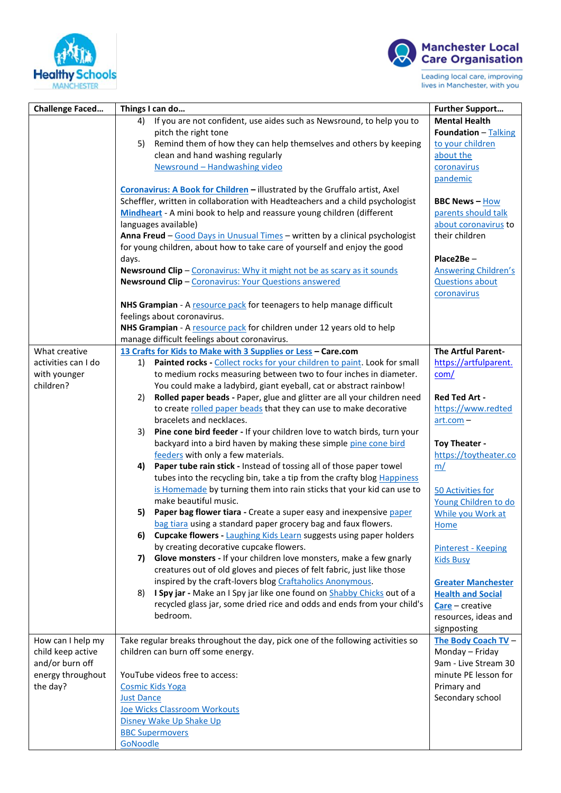



| <b>Challenge Faced</b> | Things I can do                                                                                                                                                | <b>Further Support</b>              |
|------------------------|----------------------------------------------------------------------------------------------------------------------------------------------------------------|-------------------------------------|
|                        | If you are not confident, use aides such as Newsround, to help you to<br>4)                                                                                    | <b>Mental Health</b>                |
|                        | pitch the right tone                                                                                                                                           | <b>Foundation - Talking</b>         |
|                        | Remind them of how they can help themselves and others by keeping<br>5)                                                                                        | to your children                    |
|                        | clean and hand washing regularly                                                                                                                               | about the                           |
|                        | Newsround - Handwashing video                                                                                                                                  | coronavirus                         |
|                        |                                                                                                                                                                | pandemic                            |
|                        | Coronavirus: A Book for Children - illustrated by the Gruffalo artist, Axel                                                                                    |                                     |
|                        | Scheffler, written in collaboration with Headteachers and a child psychologist                                                                                 | <b>BBC News - How</b>               |
|                        | Mindheart - A mini book to help and reassure young children (different                                                                                         | parents should talk                 |
|                        | languages available)                                                                                                                                           | about coronavirus to                |
|                        | Anna Freud - Good Days in Unusual Times - written by a clinical psychologist                                                                                   | their children                      |
|                        | for young children, about how to take care of yourself and enjoy the good                                                                                      |                                     |
|                        | days.                                                                                                                                                          | Place2Be-                           |
|                        | Newsround Clip - Coronavirus: Why it might not be as scary as it sounds                                                                                        | <b>Answering Children's</b>         |
|                        | Newsround Clip - Coronavirus: Your Questions answered                                                                                                          | <b>Questions about</b>              |
|                        |                                                                                                                                                                | coronavirus                         |
|                        | NHS Grampian - A resource pack for teenagers to help manage difficult<br>feelings about coronavirus.                                                           |                                     |
|                        | NHS Grampian - A resource pack for children under 12 years old to help                                                                                         |                                     |
|                        | manage difficult feelings about coronavirus.                                                                                                                   |                                     |
| What creative          | 13 Crafts for Kids to Make with 3 Supplies or Less - Care.com                                                                                                  | The Artful Parent-                  |
| activities can I do    | 1) Painted rocks - Collect rocks for your children to paint. Look for small                                                                                    | https://artfulparent.               |
| with younger           | to medium rocks measuring between two to four inches in diameter.                                                                                              | com/                                |
| children?              | You could make a ladybird, giant eyeball, cat or abstract rainbow!                                                                                             |                                     |
|                        | Rolled paper beads - Paper, glue and glitter are all your children need<br>2)                                                                                  | <b>Red Ted Art -</b>                |
|                        | to create rolled paper beads that they can use to make decorative                                                                                              | https://www.redted                  |
|                        | bracelets and necklaces.                                                                                                                                       | $art.com –$                         |
|                        | Pine cone bird feeder - If your children love to watch birds, turn your<br>3)                                                                                  |                                     |
|                        | backyard into a bird haven by making these simple pine cone bird                                                                                               | Toy Theater -                       |
|                        | feeders with only a few materials.                                                                                                                             | https://toytheater.co               |
|                        | 4) Paper tube rain stick - Instead of tossing all of those paper towel                                                                                         | m/                                  |
|                        | tubes into the recycling bin, take a tip from the crafty blog Happiness                                                                                        |                                     |
|                        | is Homemade by turning them into rain sticks that your kid can use to                                                                                          | 50 Activities for                   |
|                        | make beautiful music.                                                                                                                                          | Young Children to do                |
|                        | Paper bag flower tiara - Create a super easy and inexpensive paper<br>5)                                                                                       | While you Work at                   |
|                        | bag tiara using a standard paper grocery bag and faux flowers.                                                                                                 | <b>Home</b>                         |
|                        | <b>Cupcake flowers - Laughing Kids Learn suggests using paper holders</b><br>6)                                                                                |                                     |
|                        | by creating decorative cupcake flowers.                                                                                                                        | <b>Pinterest - Keeping</b>          |
|                        | Glove monsters - If your children love monsters, make a few gnarly<br>7)                                                                                       | <b>Kids Busy</b>                    |
|                        | creatures out of old gloves and pieces of felt fabric, just like those                                                                                         |                                     |
|                        | inspired by the craft-lovers blog Craftaholics Anonymous.                                                                                                      | <b>Greater Manchester</b>           |
|                        | I Spy jar - Make an I Spy jar like one found on <b>Shabby Chicks</b> out of a<br>8)<br>recycled glass jar, some dried rice and odds and ends from your child's | <b>Health and Social</b>            |
|                        | bedroom.                                                                                                                                                       | Care - creative                     |
|                        |                                                                                                                                                                | resources, ideas and<br>signposting |
| How can I help my      | Take regular breaks throughout the day, pick one of the following activities so                                                                                | The Body Coach TV -                 |
| child keep active      | children can burn off some energy.                                                                                                                             | Monday - Friday                     |
| and/or burn off        |                                                                                                                                                                | 9am - Live Stream 30                |
| energy throughout      | YouTube videos free to access:                                                                                                                                 | minute PE lesson for                |
| the day?               | <b>Cosmic Kids Yoga</b>                                                                                                                                        | Primary and                         |
|                        | <b>Just Dance</b>                                                                                                                                              | Secondary school                    |
|                        | Joe Wicks Classroom Workouts                                                                                                                                   |                                     |
|                        | Disney Wake Up Shake Up                                                                                                                                        |                                     |
|                        | <b>BBC Supermovers</b>                                                                                                                                         |                                     |
|                        | GoNoodle                                                                                                                                                       |                                     |
|                        |                                                                                                                                                                |                                     |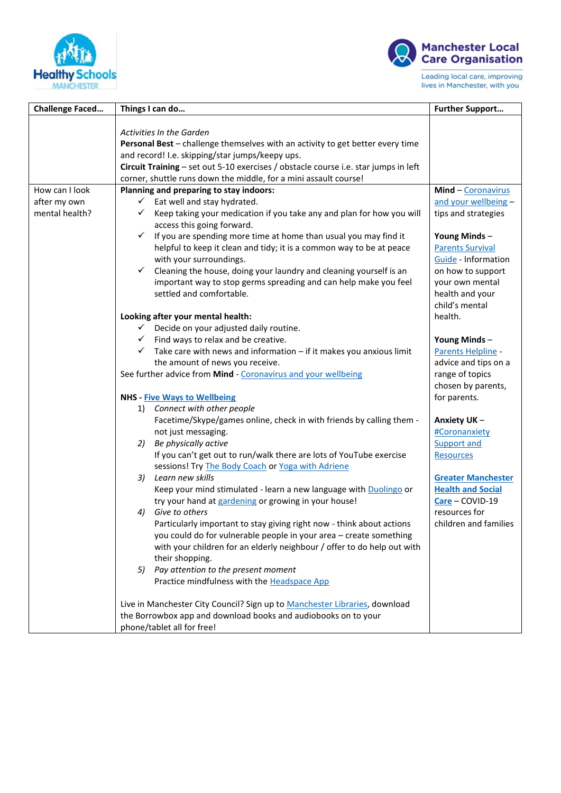



| <b>Challenge Faced</b>         | Things I can do                                                                                                                                                                                                                                                                                                                                                                                                                                                                                                                     | <b>Further Support</b>                                                                                                                                                    |
|--------------------------------|-------------------------------------------------------------------------------------------------------------------------------------------------------------------------------------------------------------------------------------------------------------------------------------------------------------------------------------------------------------------------------------------------------------------------------------------------------------------------------------------------------------------------------------|---------------------------------------------------------------------------------------------------------------------------------------------------------------------------|
|                                | <b>Activities In the Garden</b><br>Personal Best - challenge themselves with an activity to get better every time<br>and record! I.e. skipping/star jumps/keepy ups.<br>Circuit Training - set out 5-10 exercises / obstacle course i.e. star jumps in left<br>corner, shuttle runs down the middle, for a mini assault course!                                                                                                                                                                                                     |                                                                                                                                                                           |
| How can I look                 | Planning and preparing to stay indoors:                                                                                                                                                                                                                                                                                                                                                                                                                                                                                             | Mind - Coronavirus                                                                                                                                                        |
| after my own<br>mental health? | $\checkmark$ Eat well and stay hydrated.<br>$\checkmark$ Keep taking your medication if you take any and plan for how you will<br>access this going forward.<br>$\checkmark$ If you are spending more time at home than usual you may find it<br>helpful to keep it clean and tidy; it is a common way to be at peace<br>with your surroundings.<br>$\checkmark$ Cleaning the house, doing your laundry and cleaning yourself is an<br>important way to stop germs spreading and can help make you feel<br>settled and comfortable. | and your wellbeing -<br>tips and strategies<br>Young Minds -<br><b>Parents Survival</b><br>Guide - Information<br>on how to support<br>your own mental<br>health and your |
|                                | Looking after your mental health:<br>$\checkmark$ Decide on your adjusted daily routine.<br>$\checkmark$ Find ways to relax and be creative.<br>$\checkmark$ Take care with news and information - if it makes you anxious limit<br>the amount of news you receive.                                                                                                                                                                                                                                                                 | child's mental<br>health.<br>Young Minds-<br>Parents Helpline -<br>advice and tips on a                                                                                   |
|                                | See further advice from Mind - Coronavirus and your wellbeing                                                                                                                                                                                                                                                                                                                                                                                                                                                                       | range of topics<br>chosen by parents,                                                                                                                                     |
|                                | <b>NHS</b> - Five Ways to Wellbeing                                                                                                                                                                                                                                                                                                                                                                                                                                                                                                 | for parents.                                                                                                                                                              |
|                                | Connect with other people<br>1)<br>Facetime/Skype/games online, check in with friends by calling them -<br>not just messaging.<br>2) Be physically active<br>If you can't get out to run/walk there are lots of YouTube exercise                                                                                                                                                                                                                                                                                                    | Anxiety UK-<br>#Coronanxiety<br>Support and<br><b>Resources</b>                                                                                                           |
|                                | sessions! Try The Body Coach or Yoga with Adriene<br>Learn new skills<br>3)<br>Keep your mind stimulated - learn a new language with Duolingo or<br>try your hand at gardening or growing in your house!<br>Give to others<br>4)                                                                                                                                                                                                                                                                                                    | <b>Greater Manchester</b><br><b>Health and Social</b><br>Care - COVID-19<br>resources for                                                                                 |
|                                | Particularly important to stay giving right now - think about actions<br>you could do for vulnerable people in your area - create something<br>with your children for an elderly neighbour / offer to do help out with<br>their shopping.<br>5) Pay attention to the present moment<br>Practice mindfulness with the Headspace App                                                                                                                                                                                                  | children and families                                                                                                                                                     |
|                                | Live in Manchester City Council? Sign up to Manchester Libraries, download<br>the Borrowbox app and download books and audiobooks on to your<br>phone/tablet all for free!                                                                                                                                                                                                                                                                                                                                                          |                                                                                                                                                                           |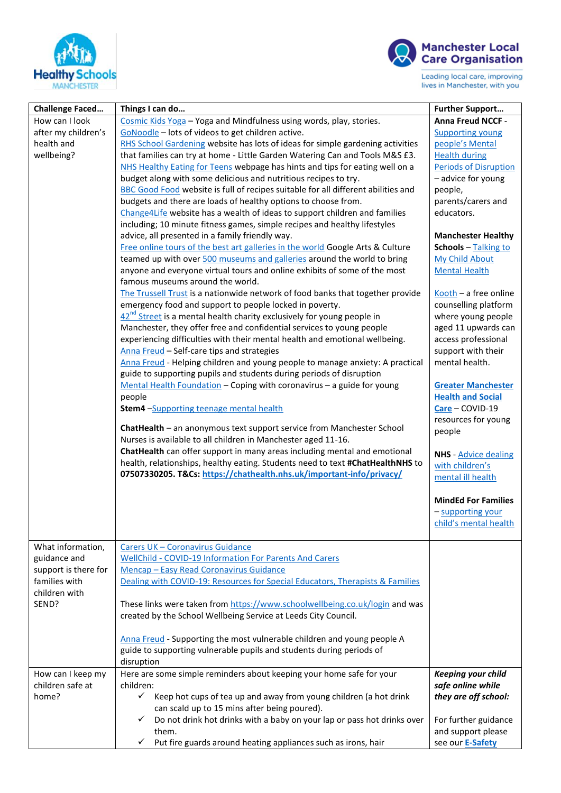



| <b>Challenge Faced</b>                                                     | Things I can do                                                                                                                                                                                                                                                                                                                                                                                                                                                                                                                                                                                                                                                                                                                                                                                                                                                                                                                                                                                                                                                                                                                                                                                                                                                                                                                                                                                                                                                                                                                                                                                                                                                                                                                                                                                                                                                                                                                                                                                                                                                                                                                                                                                             | <b>Further Support</b>                                                                                                                                                                                                                                                                                                                                                                                                                                                                                                                                                                                                                                                                                            |
|----------------------------------------------------------------------------|-------------------------------------------------------------------------------------------------------------------------------------------------------------------------------------------------------------------------------------------------------------------------------------------------------------------------------------------------------------------------------------------------------------------------------------------------------------------------------------------------------------------------------------------------------------------------------------------------------------------------------------------------------------------------------------------------------------------------------------------------------------------------------------------------------------------------------------------------------------------------------------------------------------------------------------------------------------------------------------------------------------------------------------------------------------------------------------------------------------------------------------------------------------------------------------------------------------------------------------------------------------------------------------------------------------------------------------------------------------------------------------------------------------------------------------------------------------------------------------------------------------------------------------------------------------------------------------------------------------------------------------------------------------------------------------------------------------------------------------------------------------------------------------------------------------------------------------------------------------------------------------------------------------------------------------------------------------------------------------------------------------------------------------------------------------------------------------------------------------------------------------------------------------------------------------------------------------|-------------------------------------------------------------------------------------------------------------------------------------------------------------------------------------------------------------------------------------------------------------------------------------------------------------------------------------------------------------------------------------------------------------------------------------------------------------------------------------------------------------------------------------------------------------------------------------------------------------------------------------------------------------------------------------------------------------------|
| How can I look<br>after my children's<br>health and<br>wellbeing?          | Cosmic Kids Yoga - Yoga and Mindfulness using words, play, stories.<br>GoNoodle - lots of videos to get children active.<br>RHS School Gardening website has lots of ideas for simple gardening activities<br>that families can try at home - Little Garden Watering Can and Tools M&S £3.<br>NHS Healthy Eating for Teens webpage has hints and tips for eating well on a<br>budget along with some delicious and nutritious recipes to try.<br>BBC Good Food website is full of recipes suitable for all different abilities and<br>budgets and there are loads of healthy options to choose from.<br>Change4Life website has a wealth of ideas to support children and families<br>including; 10 minute fitness games, simple recipes and healthy lifestyles<br>advice, all presented in a family friendly way.<br>Free online tours of the best art galleries in the world Google Arts & Culture<br>teamed up with over 500 museums and galleries around the world to bring<br>anyone and everyone virtual tours and online exhibits of some of the most<br>famous museums around the world.<br>The Trussell Trust is a nationwide network of food banks that together provide<br>emergency food and support to people locked in poverty.<br>$42^{nd}$ Street is a mental health charity exclusively for young people in<br>Manchester, they offer free and confidential services to young people<br>experiencing difficulties with their mental health and emotional wellbeing.<br>Anna Freud - Self-care tips and strategies<br>Anna Freud - Helping children and young people to manage anxiety: A practical<br>guide to supporting pupils and students during periods of disruption<br>Mental Health Foundation - Coping with coronavirus - a guide for young<br>people<br>Stem4 -Supporting teenage mental health<br>ChatHealth - an anonymous text support service from Manchester School<br>Nurses is available to all children in Manchester aged 11-16.<br>ChatHealth can offer support in many areas including mental and emotional<br>health, relationships, healthy eating. Students need to text #ChatHealthNHS to<br>07507330205. T&Cs: https://chathealth.nhs.uk/important-info/privacy/ | Anna Freud NCCF -<br><b>Supporting young</b><br>people's Mental<br><b>Health during</b><br>Periods of Disruption<br>- advice for young<br>people,<br>parents/carers and<br>educators.<br><b>Manchester Healthy</b><br>Schools - Talking to<br>My Child About<br><b>Mental Health</b><br>Kooth - a free online<br>counselling platform<br>where young people<br>aged 11 upwards can<br>access professional<br>support with their<br>mental health.<br><b>Greater Manchester</b><br><b>Health and Social</b><br>Care - COVID-19<br>resources for young<br>people<br><b>NHS</b> - Advice dealing<br>with children's<br>mental ill health<br><b>MindEd For Families</b><br>- supporting your<br>child's mental health |
| What information,<br>guidance and<br>support is there for<br>families with | Carers UK - Coronavirus Guidance<br>WellChild - COVID-19 Information For Parents And Carers<br>Mencap - Easy Read Coronavirus Guidance<br>Dealing with COVID-19: Resources for Special Educators, Therapists & Families                                                                                                                                                                                                                                                                                                                                                                                                                                                                                                                                                                                                                                                                                                                                                                                                                                                                                                                                                                                                                                                                                                                                                                                                                                                                                                                                                                                                                                                                                                                                                                                                                                                                                                                                                                                                                                                                                                                                                                                     |                                                                                                                                                                                                                                                                                                                                                                                                                                                                                                                                                                                                                                                                                                                   |
| children with<br>SEND?                                                     | These links were taken from https://www.schoolwellbeing.co.uk/login and was<br>created by the School Wellbeing Service at Leeds City Council.<br>Anna Freud - Supporting the most vulnerable children and young people A<br>guide to supporting vulnerable pupils and students during periods of                                                                                                                                                                                                                                                                                                                                                                                                                                                                                                                                                                                                                                                                                                                                                                                                                                                                                                                                                                                                                                                                                                                                                                                                                                                                                                                                                                                                                                                                                                                                                                                                                                                                                                                                                                                                                                                                                                            |                                                                                                                                                                                                                                                                                                                                                                                                                                                                                                                                                                                                                                                                                                                   |
|                                                                            | disruption                                                                                                                                                                                                                                                                                                                                                                                                                                                                                                                                                                                                                                                                                                                                                                                                                                                                                                                                                                                                                                                                                                                                                                                                                                                                                                                                                                                                                                                                                                                                                                                                                                                                                                                                                                                                                                                                                                                                                                                                                                                                                                                                                                                                  |                                                                                                                                                                                                                                                                                                                                                                                                                                                                                                                                                                                                                                                                                                                   |
| How can I keep my<br>children safe at<br>home?                             | Here are some simple reminders about keeping your home safe for your<br>children:<br>Keep hot cups of tea up and away from young children (a hot drink<br>✓<br>can scald up to 15 mins after being poured).                                                                                                                                                                                                                                                                                                                                                                                                                                                                                                                                                                                                                                                                                                                                                                                                                                                                                                                                                                                                                                                                                                                                                                                                                                                                                                                                                                                                                                                                                                                                                                                                                                                                                                                                                                                                                                                                                                                                                                                                 | <b>Keeping your child</b><br>safe online while<br>they are off school:                                                                                                                                                                                                                                                                                                                                                                                                                                                                                                                                                                                                                                            |
|                                                                            | Do not drink hot drinks with a baby on your lap or pass hot drinks over<br>✓<br>them.<br>Put fire guards around heating appliances such as irons, hair<br>$\checkmark$                                                                                                                                                                                                                                                                                                                                                                                                                                                                                                                                                                                                                                                                                                                                                                                                                                                                                                                                                                                                                                                                                                                                                                                                                                                                                                                                                                                                                                                                                                                                                                                                                                                                                                                                                                                                                                                                                                                                                                                                                                      | For further guidance<br>and support please<br>see our E-Safety                                                                                                                                                                                                                                                                                                                                                                                                                                                                                                                                                                                                                                                    |